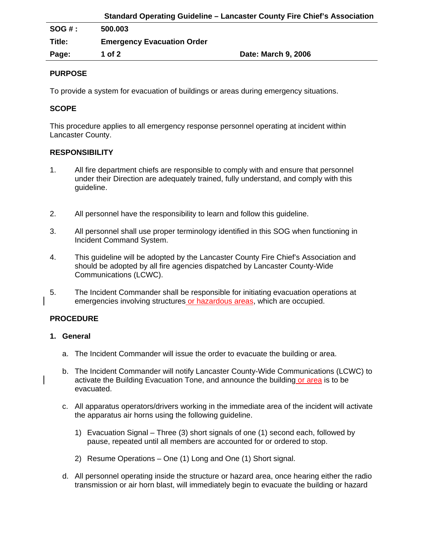|          | <b>Standard Operating Guideline - Lancaster County Fire Chief's Association</b> |                     |
|----------|---------------------------------------------------------------------------------|---------------------|
| $SOG#$ : | 500.003                                                                         |                     |
| Title:   | <b>Emergency Evacuation Order</b>                                               |                     |
| Page:    | 1 of 2                                                                          | Date: March 9, 2006 |

# **PURPOSE**

To provide a system for evacuation of buildings or areas during emergency situations.

# **SCOPE**

This procedure applies to all emergency response personnel operating at incident within Lancaster County.

## **RESPONSIBILITY**

- 1. All fire department chiefs are responsible to comply with and ensure that personnel under their Direction are adequately trained, fully understand, and comply with this guideline.
- 2. All personnel have the responsibility to learn and follow this guideline.
- 3. All personnel shall use proper terminology identified in this SOG when functioning in Incident Command System.
- 4. This guideline will be adopted by the Lancaster County Fire Chief's Association and should be adopted by all fire agencies dispatched by Lancaster County-Wide Communications (LCWC).
- 5. The Incident Commander shall be responsible for initiating evacuation operations at emergencies involving structures or hazardous areas, which are occupied.

## **PROCEDURE**

## **1. General**

- a. The Incident Commander will issue the order to evacuate the building or area.
- b. The Incident Commander will notify Lancaster County-Wide Communications (LCWC) to activate the Building Evacuation Tone, and announce the building or area is to be evacuated.
- c. All apparatus operators/drivers working in the immediate area of the incident will activate the apparatus air horns using the following guideline.
	- 1) Evacuation Signal Three (3) short signals of one (1) second each, followed by pause, repeated until all members are accounted for or ordered to stop.
	- 2) Resume Operations One (1) Long and One (1) Short signal.
- d. All personnel operating inside the structure or hazard area, once hearing either the radio transmission or air horn blast, will immediately begin to evacuate the building or hazard